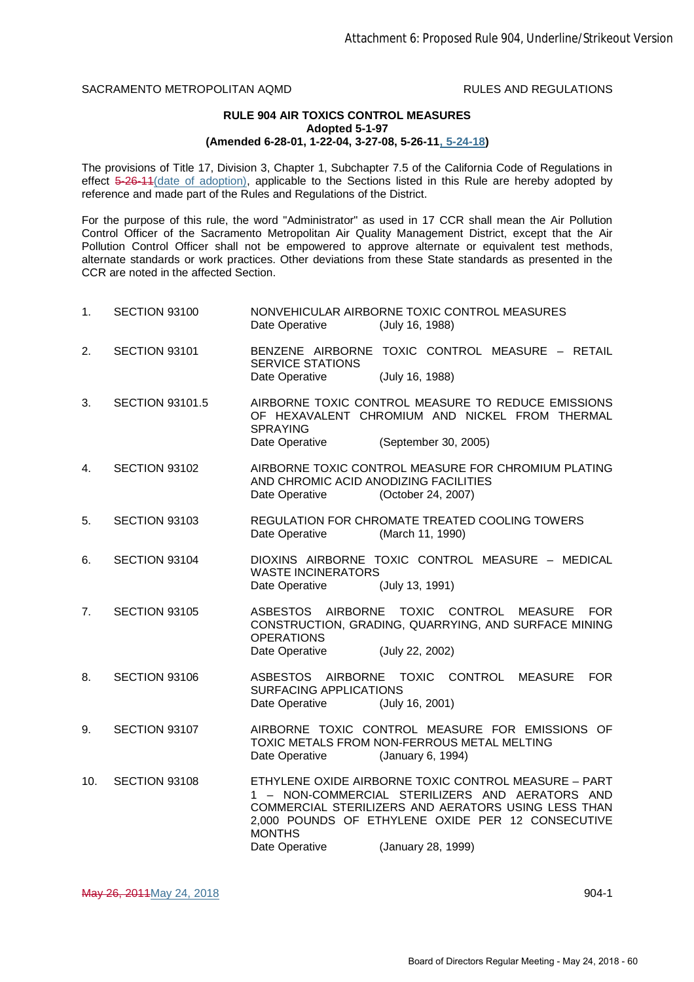SACRAMENTO METROPOLITAN AQMD **RULES AND REGULATIONS** 

## **RULE 904 AIR TOXICS CONTROL MEASURES Adopted 5-1-97 (Amended 6-28-01, 1-22-04, 3-27-08, 5-26-11, 5-24-18)**

The provisions of Title 17, Division 3, Chapter 1, Subchapter 7.5 of the California Code of Regulations in effect 5-26-11 (date of adoption), applicable to the Sections listed in this Rule are hereby adopted by reference and made part of the Rules and Regulations of the District.

For the purpose of this rule, the word "Administrator" as used in 17 CCR shall mean the Air Pollution Control Officer of the Sacramento Metropolitan Air Quality Management District, except that the Air Pollution Control Officer shall not be empowered to approve alternate or equivalent test methods, alternate standards or work practices. Other deviations from these State standards as presented in the CCR are noted in the affected Section.

| 1.  | SECTION 93100          | NONVEHICULAR AIRBORNE TOXIC CONTROL MEASURES<br>Date Operative<br>(July 16, 1988)                                                                                                                                                    |
|-----|------------------------|--------------------------------------------------------------------------------------------------------------------------------------------------------------------------------------------------------------------------------------|
| 2.  | SECTION 93101          | BENZENE AIRBORNE TOXIC CONTROL MEASURE - RETAIL<br><b>SERVICE STATIONS</b>                                                                                                                                                           |
|     |                        | Date Operative<br>(July 16, 1988)                                                                                                                                                                                                    |
| 3.  | <b>SECTION 93101.5</b> | AIRBORNE TOXIC CONTROL MEASURE TO REDUCE EMISSIONS<br>OF HEXAVALENT CHROMIUM AND NICKEL FROM THERMAL<br><b>SPRAYING</b>                                                                                                              |
|     |                        | Date Operative<br>(September 30, 2005)                                                                                                                                                                                               |
| 4.  | SECTION 93102          | AIRBORNE TOXIC CONTROL MEASURE FOR CHROMIUM PLATING<br>AND CHROMIC ACID ANODIZING FACILITIES<br>Date Operative<br>(October 24, 2007)                                                                                                 |
| 5.  | SECTION 93103          | REGULATION FOR CHROMATE TREATED COOLING TOWERS<br>Date Operative<br>(March 11, 1990)                                                                                                                                                 |
| 6.  | SECTION 93104          | DIOXINS AIRBORNE TOXIC CONTROL MEASURE - MEDICAL<br><b>WASTE INCINERATORS</b><br>Date Operative<br>(July 13, 1991)                                                                                                                   |
| 7.  | SECTION 93105          | ASBESTOS AIRBORNE TOXIC CONTROL<br><b>MEASURE</b><br><b>FOR</b><br>CONSTRUCTION, GRADING, QUARRYING, AND SURFACE MINING<br><b>OPERATIONS</b>                                                                                         |
|     |                        | Date Operative<br>(July 22, 2002)                                                                                                                                                                                                    |
| 8.  | SECTION 93106          | AIRBORNE TOXIC CONTROL<br><b>ASBESTOS</b><br><b>MEASURE</b><br><b>FOR</b><br><b>SURFACING APPLICATIONS</b><br>Date Operative<br>(July 16, 2001)                                                                                      |
| 9.  | SECTION 93107          | AIRBORNE TOXIC CONTROL MEASURE FOR EMISSIONS OF<br>TOXIC METALS FROM NON-FERROUS METAL MELTING<br>Date Operative<br>(January 6, 1994)                                                                                                |
| 10. | SECTION 93108          | ETHYLENE OXIDE AIRBORNE TOXIC CONTROL MEASURE - PART<br>1 - NON-COMMERCIAL STERILIZERS AND AERATORS AND<br>COMMERCIAL STERILIZERS AND AERATORS USING LESS THAN<br>2,000 POUNDS OF ETHYLENE OXIDE PER 12 CONSECUTIVE<br><b>MONTHS</b> |
|     |                        | Date Operative<br>(January 28, 1999)                                                                                                                                                                                                 |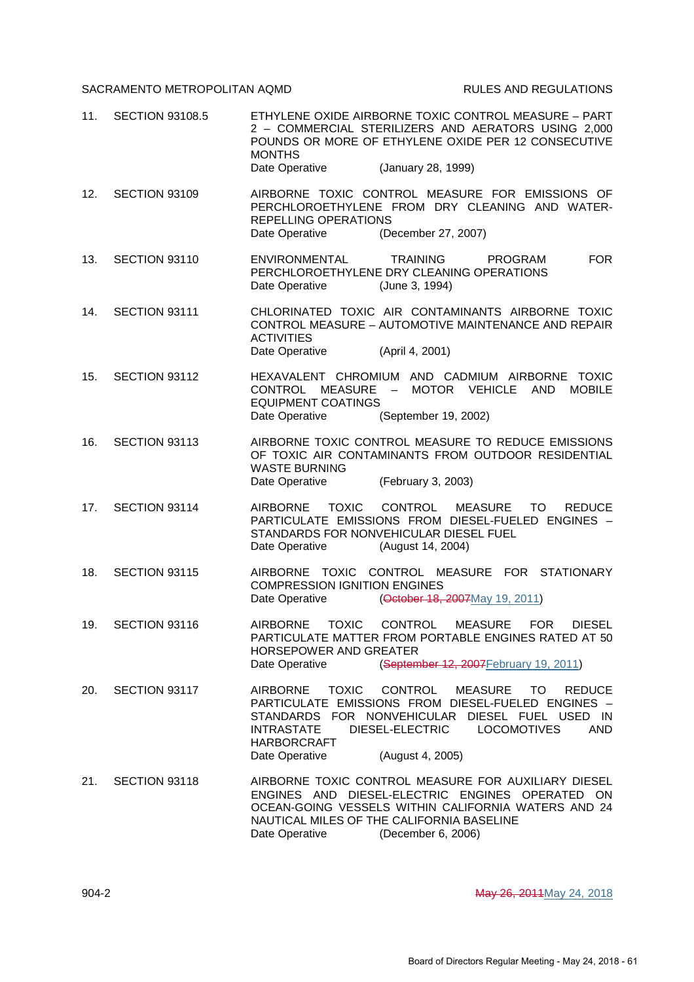## SACRAMENTO METROPOLITAN AQMD RULES AND REGULATIONS

| 11. | <b>SECTION 93108.5</b> | ETHYLENE OXIDE AIRBORNE TOXIC CONTROL MEASURE - PART<br>2 - COMMERCIAL STERILIZERS AND AERATORS USING 2,000<br>POUNDS OR MORE OF ETHYLENE OXIDE PER 12 CONSECUTIVE<br><b>MONTHS</b><br>Date Operative<br>(January 28, 1999)                                                                                                                   |
|-----|------------------------|-----------------------------------------------------------------------------------------------------------------------------------------------------------------------------------------------------------------------------------------------------------------------------------------------------------------------------------------------|
| 12. | SECTION 93109          | AIRBORNE TOXIC CONTROL MEASURE FOR EMISSIONS OF<br>PERCHLOROETHYLENE FROM DRY CLEANING AND WATER-<br>REPELLING OPERATIONS<br>(December 27, 2007)<br>Date Operative                                                                                                                                                                            |
| 13. | SECTION 93110          | <b>FOR</b><br><b>ENVIRONMENTAL</b><br><b>TRAINING</b><br><b>PROGRAM</b><br>PERCHLOROETHYLENE DRY CLEANING OPERATIONS<br>Date Operative<br>(June 3, 1994)                                                                                                                                                                                      |
| 14. | SECTION 93111          | CHLORINATED TOXIC AIR CONTAMINANTS AIRBORNE TOXIC<br>CONTROL MEASURE - AUTOMOTIVE MAINTENANCE AND REPAIR<br><b>ACTIVITIES</b><br>Date Operative<br>(April 4, 2001)                                                                                                                                                                            |
| 15. | SECTION 93112          | HEXAVALENT CHROMIUM AND CADMIUM AIRBORNE TOXIC<br><b>CONTROL</b><br>MEASURE<br>MOTOR VEHICLE<br>AND<br><b>MOBILE</b><br>$\sim$ $-$<br><b>EQUIPMENT COATINGS</b><br>Date Operative<br>(September 19, 2002)                                                                                                                                     |
| 16. | SECTION 93113          | AIRBORNE TOXIC CONTROL MEASURE TO REDUCE EMISSIONS<br>OF TOXIC AIR CONTAMINANTS FROM OUTDOOR RESIDENTIAL<br><b>WASTE BURNING</b><br>Date Operative<br>(February 3, 2003)                                                                                                                                                                      |
| 17. | SECTION 93114          | <b>TOXIC</b><br>CONTROL<br><b>MEASURE</b><br><b>AIRBORNE</b><br>TO.<br><b>REDUCE</b><br>PARTICULATE EMISSIONS FROM DIESEL-FUELED ENGINES -<br>STANDARDS FOR NONVEHICULAR DIESEL FUEL<br>Date Operative<br>(August 14, 2004)                                                                                                                   |
| 18. | <b>SECTION 93115</b>   | TOXIC CONTROL MEASURE FOR STATIONARY<br><b>AIRBORNE</b><br><b>COMPRESSION IGNITION ENGINES</b><br>Date Operative<br>(October 18, 2007 May 19, 2011)                                                                                                                                                                                           |
| 19. | SECTION 93116          | AIRBORNE TOXIC CONTROL MEASURE FOR DIESEL<br>PARTICULATE MATTER FROM PORTABLE ENGINES RATED AT 50<br>HORSEPOWER AND GREATER<br>Date Operative<br>(September 12, 2007 February 19, 2011)                                                                                                                                                       |
| 20. | SECTION 93117          | <b>TOXIC</b><br><b>CONTROL</b><br><b>AIRBORNE</b><br><b>MEASURE</b><br>TO<br><b>REDUCE</b><br>PARTICULATE EMISSIONS FROM DIESEL-FUELED ENGINES -<br>STANDARDS FOR NONVEHICULAR<br>DIESEL FUEL USED IN<br><b>INTRASTATE</b><br>DIESEL-ELECTRIC<br><b>LOCOMOTIVES</b><br><b>AND</b><br><b>HARBORCRAFT</b><br>(August 4, 2005)<br>Date Operative |
| 21. | SECTION 93118          | AIRBORNE TOXIC CONTROL MEASURE FOR AUXILIARY DIESEL<br>ENGINES AND DIESEL-ELECTRIC ENGINES OPERATED ON<br>OCEAN-GOING VESSELS WITHIN CALIFORNIA WATERS AND 24<br>NAUTICAL MILES OF THE CALIFORNIA BASELINE<br>Date Operative<br>(December 6, 2006)                                                                                            |